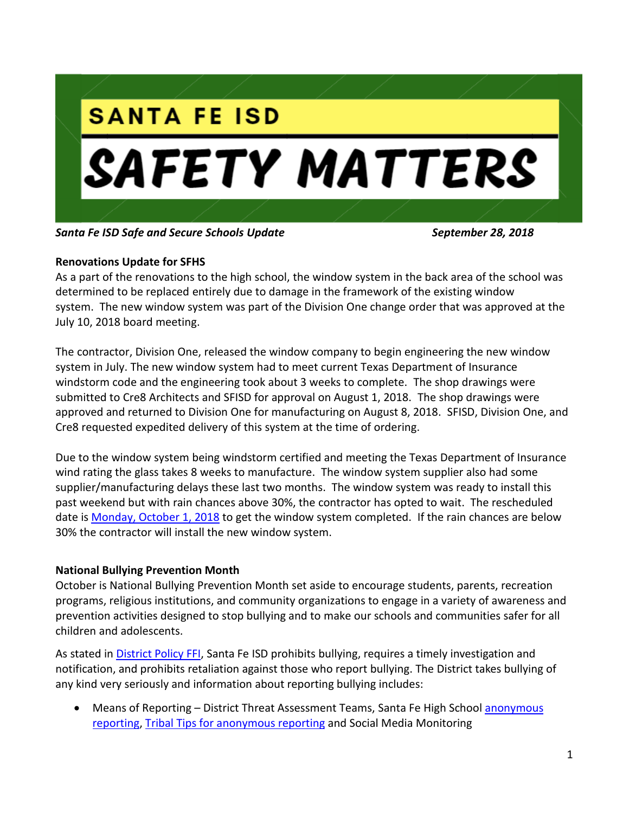

*Santa Fe ISD Safe and Secure Schools Update September 28, 2018*

## **Renovations Update for SFHS**

As a part of the renovations to the high school, the window system in the back area of the school was determined to be replaced entirely due to damage in the framework of the existing window system. The new window system was part of the Division One change order that was approved at the July 10, 2018 board meeting.

The contractor, Division One, released the window company to begin engineering the new window system in July. The new window system had to meet current Texas Department of Insurance windstorm code and the engineering took about 3 weeks to complete. The shop drawings were submitted to Cre8 Architects and SFISD for approval on August 1, 2018. The shop drawings were approved and returned to Division One for manufacturing on August 8, 2018. SFISD, Division One, and Cre8 requested expedited delivery of this system at the time of ordering.

Due to the window system being windstorm certified and meeting the Texas Department of Insurance wind rating the glass takes 8 weeks to manufacture. The window system supplier also had some supplier/manufacturing delays these last two months. The window system was ready to install this past weekend but with rain chances above 30%, the contractor has opted to wait. The rescheduled date is Monday, October 1, 2018 to get the window system completed. If the rain chances are below 30% the contractor will install the new window system.

# **National Bullying Prevention Month**

October is National Bullying Prevention Month set aside to encourage students, parents, recreation programs, religious institutions, and community organizations to engage in a variety of awareness and prevention activities designed to stop bullying and to make our schools and communities safer for all children and adolescents.

As stated in **District Policy FFI**, Santa Fe ISD prohibits bullying, requires a timely investigation and notification, and prohibits retaliation against those who report bullying. The District takes bullying of any kind very seriously and information about reporting bullying includes:

 Means of Reporting – District Threat Assessment Teams, Santa Fe High School [anonymous](https://www.schoolobjects.com/forms/public/welcome.aspx?fid=9c159147-ff78-4f1b-a3a5-1cf25012a35f&orgid=20a2223b-3bff-47a4-b7c2-6ab51215945f&did=d195af4f-973b-4cf3-ba04-81c3de921caa)  [reporting,](https://www.schoolobjects.com/forms/public/welcome.aspx?fid=9c159147-ff78-4f1b-a3a5-1cf25012a35f&orgid=20a2223b-3bff-47a4-b7c2-6ab51215945f&did=d195af4f-973b-4cf3-ba04-81c3de921caa) [Tribal Tips for anonymous reporting](https://www.sfisd.org/Domain/32) and Social Media Monitoring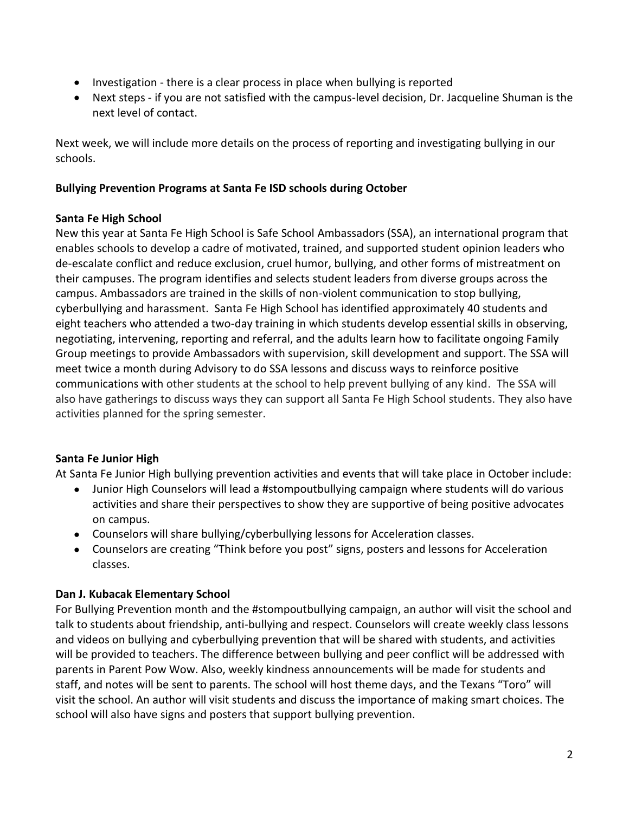- Investigation there is a clear process in place when bullying is reported
- Next steps if you are not satisfied with the campus-level decision, Dr. Jacqueline Shuman is the next level of contact.

Next week, we will include more details on the process of reporting and investigating bullying in our schools.

## **Bullying Prevention Programs at Santa Fe ISD schools during October**

## **Santa Fe High School**

New this year at Santa Fe High School is Safe School Ambassadors (SSA), an international program that enables schools to develop a cadre of motivated, trained, and supported student opinion leaders who de-escalate conflict and reduce exclusion, cruel humor, bullying, and other forms of mistreatment on their campuses. The program identifies and selects student leaders from diverse groups across the campus. Ambassadors are trained in the skills of non-violent communication to stop bullying, cyberbullying and harassment. Santa Fe High School has identified approximately 40 students and eight teachers who attended a two-day training in which students develop essential skills in observing, negotiating, intervening, reporting and referral, and the adults learn how to facilitate ongoing Family Group meetings to provide Ambassadors with supervision, skill development and support. The SSA will meet twice a month during Advisory to do SSA lessons and discuss ways to reinforce positive communications with other students at the school to help prevent bullying of any kind. The SSA will also have gatherings to discuss ways they can support all Santa Fe High School students. They also have activities planned for the spring semester.

# **Santa Fe Junior High**

At Santa Fe Junior High bullying prevention activities and events that will take place in October include:

- Junior High Counselors will lead a #stompoutbullying campaign where students will do various activities and share their perspectives to show they are supportive of being positive advocates on campus.
- Counselors will share bullying/cyberbullying lessons for Acceleration classes.
- Counselors are creating "Think before you post" signs, posters and lessons for Acceleration classes.

### **Dan J. Kubacak Elementary School**

For Bullying Prevention month and the #stompoutbullying campaign, an author will visit the school and talk to students about friendship, anti-bullying and respect. Counselors will create weekly class lessons and videos on bullying and cyberbullying prevention that will be shared with students, and activities will be provided to teachers. The difference between bullying and peer conflict will be addressed with parents in Parent Pow Wow. Also, weekly kindness announcements will be made for students and staff, and notes will be sent to parents. The school will host theme days, and the Texans "Toro" will visit the school. An author will visit students and discuss the importance of making smart choices. The school will also have signs and posters that support bullying prevention.